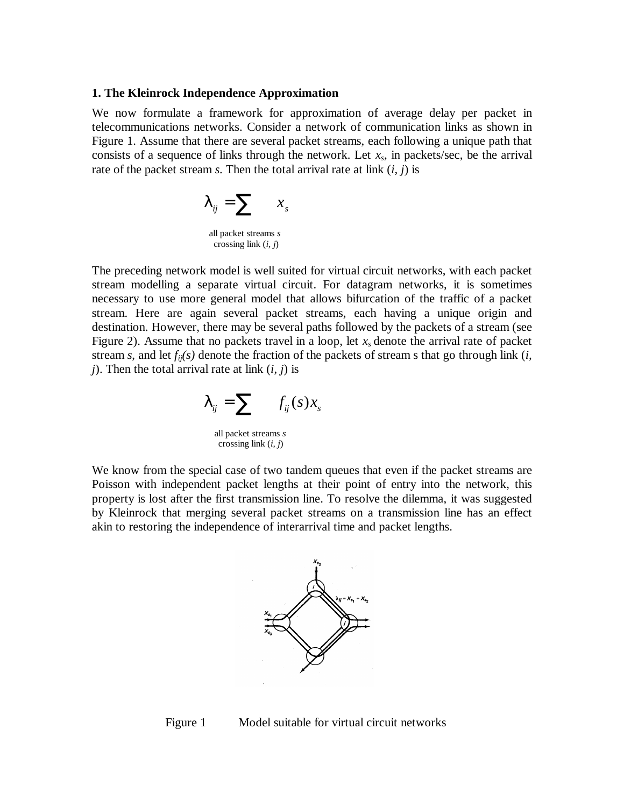## **1. The Kleinrock Independence Approximation**

We now formulate a framework for approximation of average delay per packet in telecommunications networks. Consider a network of communication links as shown in Figure 1. Assume that there are several packet streams, each following a unique path that consists of a sequence of links through the network. Let *xs*, in packets/sec, be the arrival rate of the packet stream *s*. Then the total arrival rate at link (*i, j*) is

$$
I_{ij} = \sum_{\text{all packet streams } s} x_s
$$
  
all packet streams *s* crossing link (*i*, *j*)

The preceding network model is well suited for virtual circuit networks, with each packet stream modelling a separate virtual circuit. For datagram networks, it is sometimes necessary to use more general model that allows bifurcation of the traffic of a packet stream. Here are again several packet streams, each having a unique origin and destination. However, there may be several paths followed by the packets of a stream (see Figure 2). Assume that no packets travel in a loop, let  $x_s$  denote the arrival rate of packet stream *s*, and let *fij(s)* denote the fraction of the packets of stream s that go through link (*i, j*). Then the total arrival rate at link (*i, j*) is

$$
\boldsymbol{I}_{ij} = \sum_{\text{all packet streams } s} f_{ij}(s) x_s
$$

crossing link (*i, j*)

We know from the special case of two tandem queues that even if the packet streams are Poisson with independent packet lengths at their point of entry into the network, this property is lost after the first transmission line. To resolve the dilemma, it was suggested by Kleinrock that merging several packet streams on a transmission line has an effect akin to restoring the independence of interarrival time and packet lengths.



Figure 1 Model suitable for virtual circuit networks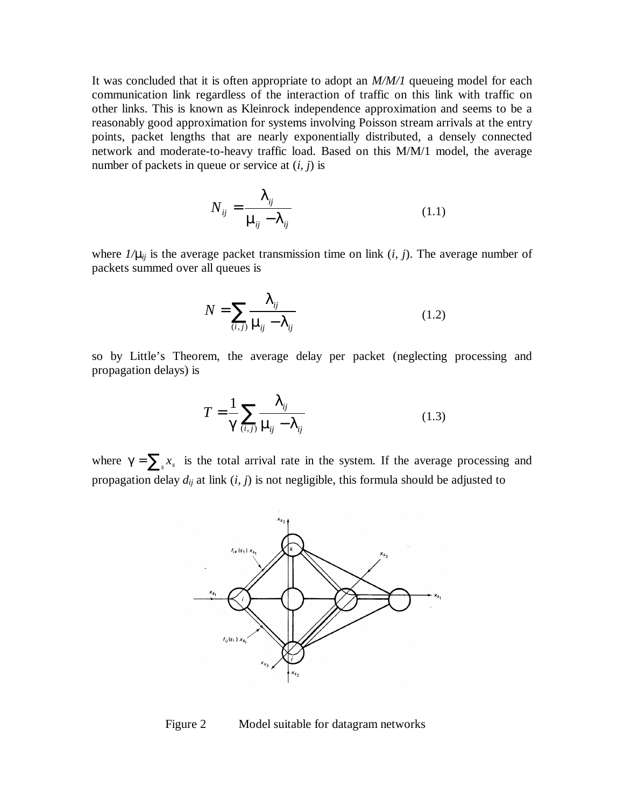It was concluded that it is often appropriate to adopt an *M/M/1* queueing model for each communication link regardless of the interaction of traffic on this link with traffic on other links. This is known as Kleinrock independence approximation and seems to be a reasonably good approximation for systems involving Poisson stream arrivals at the entry points, packet lengths that are nearly exponentially distributed, a densely connected network and moderate-to-heavy traffic load. Based on this M/M/1 model, the average number of packets in queue or service at (*i, j*) is

$$
N_{ij} = \frac{\boldsymbol{I}_{ij}}{\boldsymbol{m}_{ij} - \boldsymbol{I}_{ij}}\tag{1.1}
$$

where  $1/\mathbf{m}_i$  is the average packet transmission time on link  $(i, j)$ . The average number of packets summed over all queues is

$$
N = \sum_{(i,j)} \frac{\boldsymbol{I}_{ij}}{\boldsymbol{m}_{ij} - \boldsymbol{I}_{ij}}\tag{1.2}
$$

so by Little's Theorem, the average delay per packet (neglecting processing and propagation delays) is

$$
T = \frac{1}{\mathbf{g}} \sum_{(i,j)} \frac{\boldsymbol{l}_{ij}}{\boldsymbol{m}_{j} - \boldsymbol{l}_{ij}} \tag{1.3}
$$

where  $g = \sum_{s} x_{s}$  is the total arrival rate in the system. If the average processing and propagation delay *dij* at link (*i, j*) is not negligible, this formula should be adjusted to



Figure 2 Model suitable for datagram networks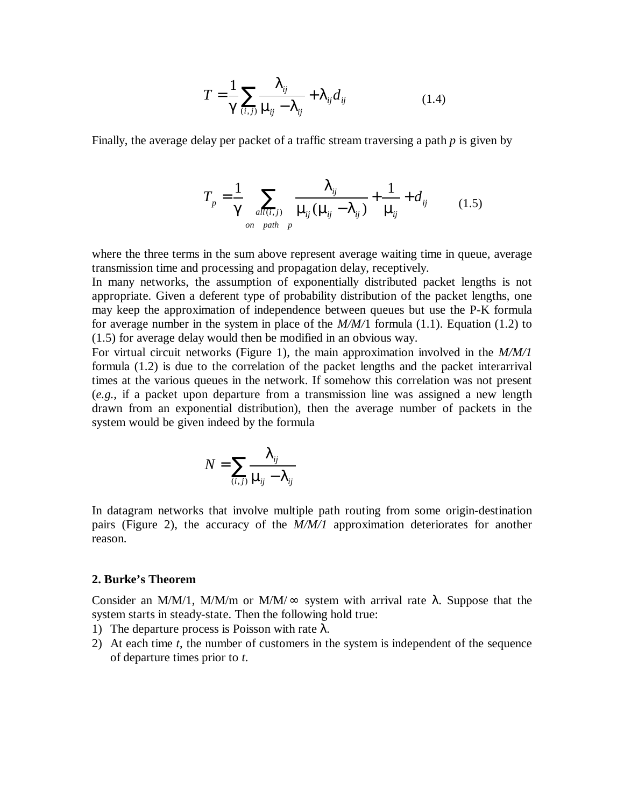$$
T = \frac{1}{\mathbf{g}} \sum_{(i,j)} \frac{\boldsymbol{l}_{ij}}{\boldsymbol{m}_{ij} - \boldsymbol{l}_{ij}} + \boldsymbol{l}_{ij} d_{ij}
$$
(1.4)

Finally, the average delay per packet of a traffic stream traversing a path *p* is given by

$$
T_p = \frac{1}{g} \sum_{all(i,j)} \frac{I_{ij}}{m_{ij}(m_{ij} - I_{ij})} + \frac{1}{m_{ij}} + d_{ij}
$$
 (1.5)

where the three terms in the sum above represent average waiting time in queue, average transmission time and processing and propagation delay, receptively.

In many networks, the assumption of exponentially distributed packet lengths is not appropriate. Given a deferent type of probability distribution of the packet lengths, one may keep the approximation of independence between queues but use the P-K formula for average number in the system in place of the *M/M/*1 formula (1.1). Equation (1.2) to (1.5) for average delay would then be modified in an obvious way.

For virtual circuit networks (Figure 1), the main approximation involved in the *M/M/1* formula (1.2) is due to the correlation of the packet lengths and the packet interarrival times at the various queues in the network. If somehow this correlation was not present (*e.g.*, if a packet upon departure from a transmission line was assigned a new length drawn from an exponential distribution), then the average number of packets in the system would be given indeed by the formula

$$
N = \sum_{(i,j)} \frac{I_{ij}}{m_{ij} - I_{ij}}
$$

In datagram networks that involve multiple path routing from some origin-destination pairs (Figure 2), the accuracy of the *M/M/1* approximation deteriorates for another reason.

## **2. Burke's Theorem**

Consider an M/M/1, M/M/m or M/M/ $\infty$  system with arrival rate  $\lambda$ . Suppose that the system starts in steady-state. Then the following hold true:

- 1) The departure process is Poisson with rate  $\lambda$ .
- 2) At each time *t*, the number of customers in the system is independent of the sequence of departure times prior to *t*.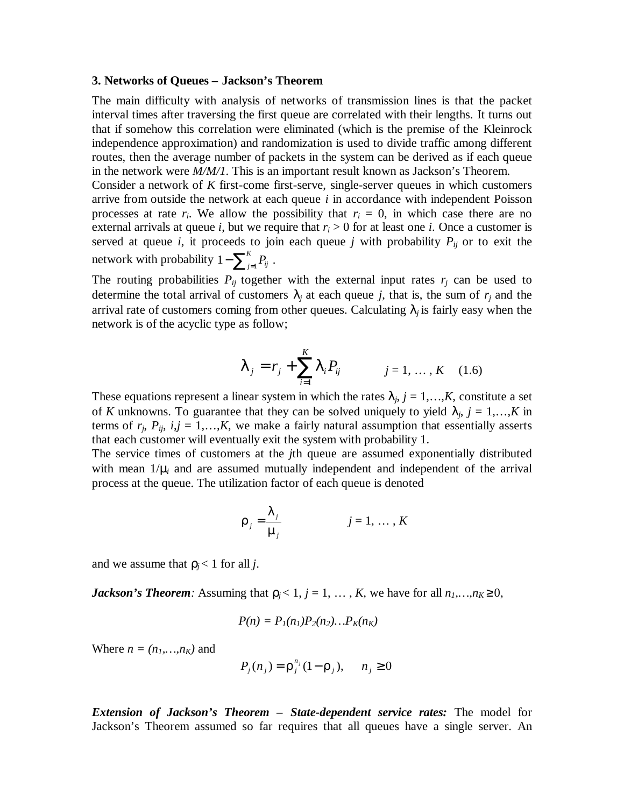## **3. Networks of Queues – Jackson's Theorem**

The main difficulty with analysis of networks of transmission lines is that the packet interval times after traversing the first queue are correlated with their lengths. It turns out that if somehow this correlation were eliminated (which is the premise of the Kleinrock independence approximation) and randomization is used to divide traffic among different routes, then the average number of packets in the system can be derived as if each queue in the network were *M/M/1*. This is an important result known as Jackson's Theorem.

Consider a network of *K* first-come first-serve, single-server queues in which customers arrive from outside the network at each queue *i* in accordance with independent Poisson processes at rate  $r_i$ . We allow the possibility that  $r_i = 0$ , in which case there are no external arrivals at queue *i*, but we require that  $r_i > 0$  for at least one *i*. Once a customer is served at queue *i*, it proceeds to join each queue *j* with probability  $P_{ij}$  or to exit the network with probability  $1-\sum_{j=1}^K$  $1 - \sum_{j=1}^{K} P_{ij}$ .

The routing probabilities  $P_{ij}$  together with the external input rates  $r_j$  can be used to determine the total arrival of customers  $I_i$  at each queue *j*, that is, the sum of  $r_i$  and the arrival rate of customers coming from other queues. Calculating  $I_i$  is fairly easy when the network is of the acyclic type as follow;

$$
\boldsymbol{I}_{j} = r_{j} + \sum_{i=1}^{K} \boldsymbol{I}_{i} P_{ij} \qquad j = 1, ..., K \quad (1.6)
$$

These equations represent a linear system in which the rates  $I_j$ ,  $j = 1,...,K$ , constitute a set of *K* unknowns. To guarantee that they can be solved uniquely to yield  $I_j$ ,  $j = 1,...,K$  in terms of  $r_i$ ,  $P_{ii}$ ,  $i, j = 1,...,K$ , we make a fairly natural assumption that essentially asserts that each customer will eventually exit the system with probability 1.

The service times of customers at the *j*th queue are assumed exponentially distributed with mean  $1/m$  and are assumed mutually independent and independent of the arrival process at the queue. The utilization factor of each queue is denoted

$$
r_j = \frac{l_j}{m_j} \qquad j = 1, \dots, K
$$

and we assume that  $r_i$  < 1 for all *j*.

*Jackson's Theorem:* Assuming that  $r_j < 1$ ,  $j = 1, ..., K$ , we have for all  $n_1,...,n_K \ge 0$ ,

$$
P(n) = PI(nI)P2(n2)...PK(nK)
$$

Where  $n = (n_1, \ldots, n_K)$  and

$$
P_j(n_j) = \mathbf{r}_j^{n_j} (1 - \mathbf{r}_j), \quad n_j \ge 0
$$

*Extension of Jackson's Theorem – State-dependent service rates:* The model for Jackson's Theorem assumed so far requires that all queues have a single server. An